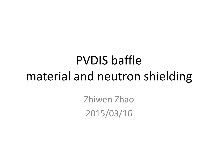# PVDIS baffle material and neutron shielding

Zhiwen Zhao 2015/03/16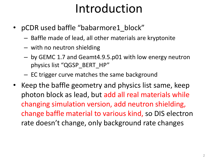## Introduction

- pCDR used baffle "babarmore1\_block"
	- Baffle made of lead, all other materials are kryptonite
	- with no neutron shielding
	- by GEMC 1.7 and Geamt4.9.5.p01 with low energy neutron physics list "QGSP\_BERT\_HP"
	- EC trigger curve matches the same background
- Keep the baffle geometry and physics list same, keep photon block as lead, but add all real materials while changing simulation version, add neutron shielding, change baffle material to various kind, so DIS electron rate doesn't change, only background rate changes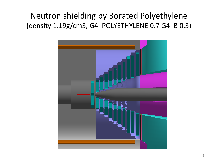### Neutron shielding by Borated Polyethylene (density 1.19g/cm3, G4\_POLYETHYLENE 0.7 G4\_B 0.3)

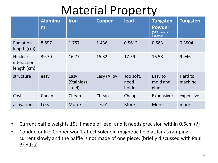## Material Property

|                                              | <b>Aluminu</b><br>m | <b>Iron</b>                  | <b>Copper</b> | lead                        | <b>Tungsten</b><br><b>Powder</b><br>(60% density of<br><b>Tungsten)</b> | <b>Tungsten</b>    |
|----------------------------------------------|---------------------|------------------------------|---------------|-----------------------------|-------------------------------------------------------------------------|--------------------|
| Radiation<br>length (cm)                     | 8.897               | 1.757                        | 1.436         | 0.5612                      | 0.583                                                                   | 0.3504             |
| <b>Nuclear</b><br>interaction<br>length (cm) | 39.70               | 16.77                        | 15.32         | 17.59                       | 16.58                                                                   | 9.946              |
| structure                                    | easy                | Easy<br>(Stainless<br>steel) | Easy (Alloy)  | Too soft,<br>need<br>holder | Easy to<br>mold and<br>glue                                             | Hard to<br>machine |
| Cost                                         | Cheap               | Cheap                        | Cheap         | Cheap                       | Expensive?                                                              | expensive          |
| activation                                   | Less                | More?                        | Less?         | <b>More</b>                 | <b>More</b>                                                             | more               |

- Current baffle weights 15t if made of lead and it needs precision within 0.5cm (?)
- Conductor like Copper won't affect solenoid magnetic field as far as ramping current slowly and the baffle is not made of one piece. (briefly discussed with Paul Brindza)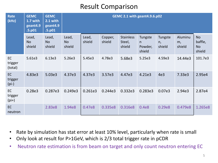#### Result Comparison

| <b>Rate</b><br>(kHz)            | <b>GEMC</b><br>1.7 with<br>geant4.9<br>.5.p01 | <b>GEMC</b><br>2.1 with<br>geant4.9<br>.5.p01 |                              | GEMC 2.1 with geant4.9.6.p02 |                   |                                      |                                    |                         |                         |                                             |  |
|---------------------------------|-----------------------------------------------|-----------------------------------------------|------------------------------|------------------------------|-------------------|--------------------------------------|------------------------------------|-------------------------|-------------------------|---------------------------------------------|--|
|                                 | Lead,<br><b>No</b><br>shield                  | Lead,<br><b>No</b><br>shield                  | Lead,<br><b>No</b><br>shield | Lead,<br>shield              | Copper,<br>shield | <b>Stainless</b><br>Steel,<br>shield | Tungste<br>n.<br>Powder,<br>shield | Tungste<br>n,<br>shield | Aluminu<br>m,<br>shield | <b>No</b><br>baffle,<br><b>No</b><br>shield |  |
| <b>EC</b><br>trigger<br>(total) | 5.61e3                                        | 6.13e3                                        | 5.26e3                       | 5.45e3                       | 4.78e3            | 5.68e3                               | 5.25e3                             | 4.59e3                  | 14.44e3                 | 101.7e3                                     |  |
| EC<br>trigger<br>$(p_i-)$       | 4.83e3                                        | 5.03e3                                        | 4.37e3                       | 4.37e3                       | 3.57e3            | 4.47e3                               | 4.21e3                             | 4e <sub>3</sub>         | 7.33e3                  | 2.95e4                                      |  |
| <b>EC</b><br>trigger<br>$(pi+)$ | 0.28e3                                        | 0.287e3                                       | 0.249e3                      | 0.261e3                      | 0.244e3           | 0.332e3                              | 0.283e3                            | 0.07e3                  | 2.94e3                  | 2.87e4                                      |  |
| <b>EC</b><br>neutron            |                                               | 2.83e8                                        | 1.94e8                       | 0.47e8                       | 0.335e8           | 0.316e8                              | 0.4e8                              | 0.29e8                  | 0.479e8                 | 1.265e8                                     |  |

- Rate by simulation has stat error at least 10% level, particularly when rate is small
- Only look at result for P>1GeV, which is 2/3 total trigger rate in pCDR
- Neutron rate estimation is from beam on target and only count neutron entering EC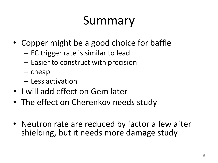# Summary

- Copper might be a good choice for baffle
	- EC trigger rate is similar to lead
	- Easier to construct with precision
	- cheap
	- Less activation
- I will add effect on Gem later
- The effect on Cherenkov needs study
- Neutron rate are reduced by factor a few after shielding, but it needs more damage study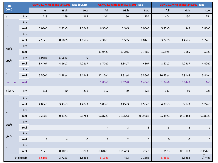| Rate            |              |           | GEMC 1.7 with geant4.9.5.p01, lead (pCDR) |              |                | GEMC 2.1 with geant4.9.5.p01, lead |              |              | GEMC 2.1 with geant4.9.6.p02, lead |              |  |
|-----------------|--------------|-----------|-------------------------------------------|--------------|----------------|------------------------------------|--------------|--------------|------------------------------------|--------------|--|
| (kHz)           |              | full      | High                                      | Low          | full           | High                               | Low          | full         | High                               | Low          |  |
| ${\bf e}$       | kry          | 413       | 149                                       | 265          | 404            | 150                                | 254          | 404          | 150                                | 254          |  |
| $\pi$ -         | kry          |           |                                           |              |                |                                    |              |              |                                    |              |  |
|                 | real         | 5.08e5    | 2.72e5                                    | 2.36e5       | 6.35e5         | 3.3e5                              | 3.05e5       | 5.85e5       | 3e5                                | 2.85e5       |  |
| $\pi^*$         | kry          |           |                                           |              |                |                                    |              |              |                                    |              |  |
|                 | real         | 2.13e5    | 0.98e5                                    | 1.15e5       | 2.31e5         | 1.5e5                              | 1.81e5       | 3.22e5       | 1.45e5                             | 1.77e5       |  |
| $e(\pi^0)$      | kry          |           |                                           |              |                |                                    |              |              |                                    |              |  |
|                 | real         |           |                                           |              | 17.94e5        | 11.2e5                             | 6.74e5       | 17.9e5       | 11e5                               | 6.9e5        |  |
| $\gamma(\pi^0)$ | kry          | 5.06e3    | 5.06e3                                    | $\mathbf{0}$ |                |                                    |              |              |                                    |              |  |
|                 | real         | 8.44e7    | 4.16e7                                    | 4.28e7       | 8.77e7         | 4.34e7                             | 4.43e7       | 8.67e7       | 4.25e7                             | 4.42e7       |  |
| p               | kry          |           |                                           |              |                |                                    |              |              |                                    |              |  |
|                 | real         | 5.50e4    | 2.38e4                                    | 3.12e4       | 12.17e4        | 5.81e4                             | 6.36e4       | 10.75e4      | 4.91e4                             | 5.84e4       |  |
| neutron         | real         |           |                                           |              | 2.83e8         | 1.37e8                             | 1.46e8       | 1.94e8       | 0.94e8                             | <b>1e8</b>   |  |
| e (W>2)         | kry          | 311       | 80                                        | 231          | 317            | 89                                 | 228          | 317          | 89                                 | 228          |  |
|                 | kry          |           |                                           |              |                |                                    |              |              |                                    |              |  |
| $\pi$ -         | real         | 4.83e3    | 3.43e3                                    | 1.40e3       | 5.03e3         | 3.45e3                             | 1.58e3       | 4.37e3       | 3.1e3                              | 1.27e3       |  |
| $\pi^*$         | kry          |           |                                           |              |                |                                    |              |              |                                    |              |  |
|                 | real         | 0.28e3    | 0.11e3                                    | 0.17e3       | 0.287e3        | 0.195e3                            | 0.092e3      | 0.249e3      | 0.154e3                            | 0.085e3      |  |
| $e(\pi^0)$      | kry          |           |                                           |              |                |                                    |              |              |                                    |              |  |
|                 | real         |           |                                           |              | $\overline{a}$ | 3                                  | $\mathbf{1}$ | $\mathbf{3}$ | $\overline{2}$                     | $\mathbf{1}$ |  |
| $\gamma(\pi^0)$ | kry          |           |                                           |              |                |                                    |              |              |                                    |              |  |
|                 | real         | $\pmb{4}$ | 4                                         | 0            | $\overline{2}$ | $\overline{2}$                     | 0            | $\pmb{0}$    | $\pmb{0}$                          | $\mathbf 0$  |  |
| p               | kry          |           |                                           |              |                |                                    |              |              |                                    |              |  |
|                 | real         | 0.18e3    | 0.10e3                                    | 0.08e3       | 0.484e3        | 0.254e3                            | 0.23e3       | 0.335e3      | 0.181e3                            | 0.154e3      |  |
|                 | Total (real) | 5.61e3    | 3.72e3                                    | 1.88e3       | 6.13e3         | 4e <sub>3</sub>                    | 2.13e3       | 5.26e3       | 3.52e3                             | 1.74e3       |  |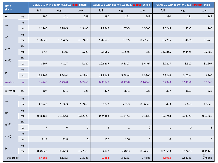| Rate                         |      |                | GEMC 2.1 with geant4.9.6.p02, lead, shield |              |              | GEMC 2.1 with geant4.9.6.p02, copper, shield |             |                  | GEMC 2.1 with geant4.9.6.p02, Tungsten, shield |                 |
|------------------------------|------|----------------|--------------------------------------------|--------------|--------------|----------------------------------------------|-------------|------------------|------------------------------------------------|-----------------|
| (kHz)                        |      | full           | High                                       | Low          | full         | High                                         | Low         | full             | High                                           | Low             |
| $\mathsf{e}\,$               | kry  | 390            | 141                                        | 249          | 390          | 141                                          | 249         | 390              | 141                                            | 249             |
|                              | kry  |                |                                            |              |              |                                              |             |                  |                                                |                 |
| $\pi$ -                      | real | 4.12e5         | 2.18e5                                     | 1.94e5       | 2.92e5       | 1.57e5                                       | 1.35e5      | 2.32e5           | 1.32e5                                         | 1e <sub>5</sub> |
| $\pi^{\scriptscriptstyle +}$ | kry  |                |                                            |              |              |                                              |             |                  |                                                |                 |
|                              | real | 1.768e5        | 0.794e5                                    | 0.974e5      | 1.475e5      | 0.7e5                                        | 0.775e5     | 0.72e5           | 0.348e5                                        | 0.37e5          |
| $e(\pi^0)$                   | kry  |                |                                            |              |              |                                              |             |                  |                                                |                 |
|                              | real | 17.7           | 11e5                                       | 6.7e5        | 22.5e5       | 13.5e5                                       | 9e5         | 14.68e5          | 9.44e5                                         | 5.24e5          |
| $\gamma(\pi^0)$              | kry  |                |                                            |              |              |                                              |             |                  |                                                |                 |
|                              | real | 8.2e7          | 4.1e7                                      | 4.1e7        | 10.62e7      | 5.18e7                                       | 5.44e7      | 6.72e7           | 3.5e7                                          | 3.22e7          |
| р                            | kry  |                |                                            |              |              |                                              |             |                  |                                                |                 |
|                              | real | 11.82e4        | 5.54e4                                     | 6.28e4       | 11.81e4      | 5.48e4                                       | 6.33e4      | 6.32e4           | 3.02e4                                         | 3.3e4           |
| neutron                      | real | 0.47e8         | 0.23e8                                     | 0.24e8       | 0.335e8      | 0.17e8                                       | 0.165e8     | 0.29e8           | 0.142e8                                        | 0.15e8          |
| e (W>2)                      | kry  | 307            | 82.1                                       | 225          | 307          | 82.1                                         | 225         | 307              | 82.1                                           | 225             |
|                              | kry  |                |                                            |              |              |                                              |             |                  |                                                |                 |
| $\pi$ -                      | real | 4.37e3         | 2.63e3                                     | 1.74e3       | 3.57e3       | 2.7e3                                        | 0.869e3     | 4e3              | 2.6e3                                          | 1.38e3          |
| $\pi^{\scriptscriptstyle +}$ | kry  |                |                                            |              |              |                                              |             |                  |                                                |                 |
|                              | real | 0.261e3        | 0.135e3                                    | 0.126e3      | 0.244e3      | 0.134e3                                      | 0.11e3      | 0.07e3           | 0.031e3                                        | 0.037e3         |
| $e(\pi^0)$                   | kry  |                |                                            |              |              |                                              |             |                  |                                                |                 |
|                              | real | $\overline{7}$ | $\boldsymbol{6}$                           | $\mathbf{1}$ | $\mathsf{3}$ | $1\,$                                        | $2^{\circ}$ | $\mathbf 1$      | $\pmb{0}$                                      | $\mathbf{1}$    |
| $\gamma(\pi^0)$              | kry  |                |                                            |              |              |                                              |             |                  |                                                |                 |
|                              | real | 21.8           | 21.8                                       | 0            | 156          | 156                                          | 0           | $\boldsymbol{6}$ | $\,$ 6 $\,$                                    | $\mathbf 0$     |
| р                            | kry  |                |                                            |              |              |                                              |             |                  |                                                |                 |
|                              | real | 0.489e3        | 0.26e3                                     | 0.229e3      | 0.49e3       | 0.248e3                                      | 0.249e3     | 0.235e3          | 0.124e3                                        | 0.111e3         |
| Total (real)                 |      | 5.45e3         | 3.13e3                                     | 2.32e3       | 4.78e3       | 3.32e3                                       | 1.46e3      | 4.59e3           | 2.837e3                                        | $8$<br>1.753e3  |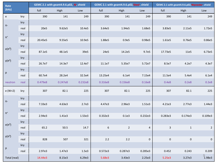| Rate            |      |         | GEMC 2.1 with geant4.9.6.p02, Al, shield |         |                  | GEMC 2.1 with geant4.9.6.p02, Steel, shield |         |             | GEMC 2.1 with geant4.9.6.p02, Wpowder, shield |             |  |
|-----------------|------|---------|------------------------------------------|---------|------------------|---------------------------------------------|---------|-------------|-----------------------------------------------|-------------|--|
| (kHz)           |      | full    | High                                     | Low     | full             | High                                        | Low     | full        | High                                          | Low         |  |
| $\mathsf{e}\,$  | kry  | 390     | 141                                      | 249     | 390              | 141                                         | 249     | 390         | 141                                           | 249         |  |
| $\pi$ -         | kry  |         |                                          |         |                  |                                             |         |             |                                               |             |  |
|                 | real | 20e5    | 9.62e5                                   | 10.4e5  | 3.64e5           | 1.94e5                                      | 1.68e5  | 3.83e5      | 2.11e5                                        | 1.72e5      |  |
| $\pi^*$         | kry  |         |                                          |         |                  |                                             |         |             |                                               |             |  |
|                 | real | 20.45e5 | 9.55e5                                   | 10.9e5  | 1.88e5           | 0.9e5                                       | 0.98e5  | 1.61e5      | 0.76e5                                        | 0.86e5      |  |
| $e(\pi^0)$      | kry  |         |                                          |         |                  |                                             |         |             |                                               |             |  |
|                 | real | 87.1e5  | 48.1e5                                   | 39e5    | 24e5             | 14.2e5                                      | 9.7e5   | 17.73e5     | 11e5                                          | 6.73e5      |  |
| $\gamma(\pi^0)$ | kry  |         |                                          |         |                  |                                             |         |             |                                               |             |  |
|                 | real | 26.7e7  | 14.3e7                                   | 12.4e7  | 11.1e7           | 5.35e7                                      | 5.72e7  | 8.5e7       | 4.2e7                                         | 4.3e7       |  |
| р               | kry  |         |                                          |         |                  |                                             |         |             |                                               |             |  |
|                 | real | 60.7e4  | 28.2e4                                   | 32.5e4  | 13.25e4          | 6.1e4                                       | 7.15e4  | 11.5e4      | 5.4e4                                         | 6.1e4       |  |
| neutron         | real | 0.479e8 | 0.247e8                                  | 0.232e8 | 0.316e8          | 0.156e8                                     | 0.16e8  | 0.4e8       | 0.2e8                                         | 0.2e8       |  |
| e (W>2)         | kry  | 307     | 82.1                                     | 225     | 307              | 82.1                                        | 225     | 307         | 82.1                                          | 225         |  |
|                 | kry  |         |                                          |         |                  |                                             |         |             |                                               |             |  |
| $\pi$ -         | real | 7.33e3  | 4.63e3                                   | 2.7e3   | 4.47e3           | 2.96e3                                      | 1.51e3  | 4.21e3      | 2.77e3                                        | 1.44e3      |  |
| $\pi^*$         | kry  |         |                                          |         |                  |                                             |         |             |                                               |             |  |
|                 | real | 2.94e3  | 1.41e3                                   | 1.53e3  | 0.332e3          | 0.1e3                                       | 0.232e3 | 0.283e3     | 0.174e3                                       | 0.109e3     |  |
| $e(\pi^0)$      | kry  |         |                                          |         |                  |                                             |         |             |                                               |             |  |
|                 | real | 65.2    | 50.5                                     | 14.7    | $\boldsymbol{6}$ | $\overline{2}$                              | 4       | $\mathsf 3$ | $\mathbf{1}$                                  | $2^{\circ}$ |  |
| $\gamma(\pi^0)$ | kry  |         |                                          |         |                  |                                             |         |             |                                               |             |  |
|                 | real | 828     | 507                                      | 321     | $2.2$            | $2.2$                                       | 0       | $\pmb{0}$   | $\boldsymbol{0}$                              | 0           |  |
| р               | kry  |         |                                          |         |                  |                                             |         |             |                                               |             |  |
|                 | real | 2.97e3  | 1.47e3                                   | 1.5e3   | 0.572e3          | 0.287e3                                     | 0.285e3 | 0.452       | 0.243                                         | 0.209       |  |
| Total (real)    |      | 14.44e3 | 8.15e3                                   | 6.29e3  | 5.68e3           | 3.43e3                                      | 2.25e3  | 5.25e3      | 3.27e3                                        | 9<br>1.98e3 |  |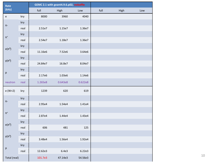| Rate                              |      |         | GEMC 2.1 with geant4.9.6.p02, nobaffle |         |      |      |     |
|-----------------------------------|------|---------|----------------------------------------|---------|------|------|-----|
| (kHz)                             |      | full    | High                                   | Low     | full | High | Low |
| $\mathsf{e}% _{t}\left( t\right)$ | kry  | 8000    | 3960                                   | 4040    |      |      |     |
| $\pi$ -                           | kry  |         |                                        |         |      |      |     |
|                                   | real | 2.51e7  | 1.15e7                                 | 1.36e7  |      |      |     |
| $\pi^*$                           | kry  |         |                                        |         |      |      |     |
|                                   | real | 2.54e7  | 1.18e7                                 | 1.36e7  |      |      |     |
| $e(\pi^0)$                        | kry  |         |                                        |         |      |      |     |
|                                   | real | 11.16e6 | 7.52e6                                 | 3.64e6  |      |      |     |
| $\gamma(\pi^0)$                   | kry  |         |                                        |         |      |      |     |
|                                   | real | 24.84e7 | 16.8e7                                 | 8.04e7  |      |      |     |
| p                                 | kry  |         |                                        |         |      |      |     |
|                                   | real | 2.17e6  | 1.03e6                                 | 1.14e6  |      |      |     |
| neutron                           | real | 1.265e8 | 0.643e8                                | 0.622e8 |      |      |     |
| e (W>2)                           | kry  | 1239    | 620                                    | 619     |      |      |     |
|                                   | kry  |         |                                        |         |      |      |     |
| $\pi\text{-}$                     | real | 2.95e4  | 1.54e4                                 | 1.41e4  |      |      |     |
| $\pi^*$                           | kry  |         |                                        |         |      |      |     |
|                                   | real | 2.87e4  | 1.44e4                                 | 1.43e4  |      |      |     |
| $e(\pi^0)$                        | kry  |         |                                        |         |      |      |     |
|                                   | real | 606     | 481                                    | 125     |      |      |     |
| $\gamma(\pi^0)$                   | kry  |         |                                        |         |      |      |     |
|                                   | real | 3.48e4  | 1.56e4                                 | 1.92e4  |      |      |     |
| p                                 | kry  |         |                                        |         |      |      |     |
|                                   | real | 12.62e3 | 6.4e3                                  | 6.22e3  |      |      |     |
| Total (real)                      |      | 101.7e3 | 47.14e3                                | 54.56e3 |      |      |     |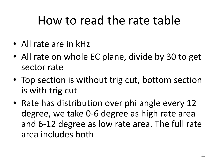## How to read the rate table

- All rate are in kHz
- All rate on whole EC plane, divide by 30 to get sector rate
- Top section is without trig cut, bottom section is with trig cut
- Rate has distribution over phi angle every 12 degree, we take 0-6 degree as high rate area and 6-12 degree as low rate area. The full rate area includes both